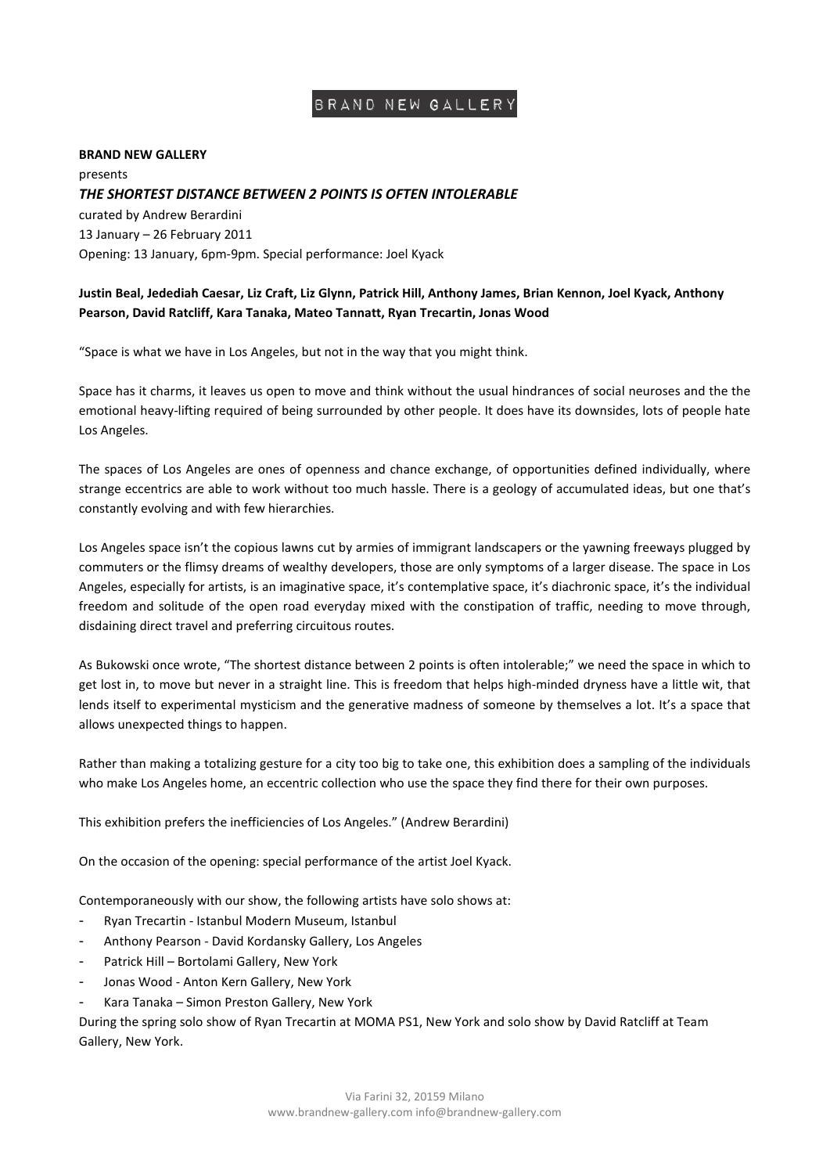# BRAND NEW GALLERY

### **BRAND NEW GALLERY**

presents *THE SHORTEST DISTANCE BETWEEN 2 POINTS IS OFTEN INTOLERABLE* curated by Andrew Berardini 13 January – 26 February 2011 Opening: 13 January, 6pm-9pm. Special performance: Joel Kyack

## **Justin Beal, Jedediah Caesar, Liz Craft, Liz Glynn, Patrick Hill, Anthony James, Brian Kennon, Joel Kyack, Anthony Pearson, David Ratcliff, Kara Tanaka, Mateo Tannatt, Ryan Trecartin, Jonas Wood**

"Space is what we have in Los Angeles, but not in the way that you might think.

Space has it charms, it leaves us open to move and think without the usual hindrances of social neuroses and the the emotional heavy-lifting required of being surrounded by other people. It does have its downsides, lots of people hate Los Angeles.

The spaces of Los Angeles are ones of openness and chance exchange, of opportunities defined individually, where strange eccentrics are able to work without too much hassle. There is a geology of accumulated ideas, but one that's constantly evolving and with few hierarchies.

Los Angeles space isn't the copious lawns cut by armies of immigrant landscapers or the yawning freeways plugged by commuters or the flimsy dreams of wealthy developers, those are only symptoms of a larger disease. The space in Los Angeles, especially for artists, is an imaginative space, it's contemplative space, it's diachronic space, it's the individual freedom and solitude of the open road everyday mixed with the constipation of traffic, needing to move through, disdaining direct travel and preferring circuitous routes.

As Bukowski once wrote, "The shortest distance between 2 points is often intolerable;" we need the space in which to get lost in, to move but never in a straight line. This is freedom that helps high-minded dryness have a little wit, that lends itself to experimental mysticism and the generative madness of someone by themselves a lot. It's a space that allows unexpected things to happen.

Rather than making a totalizing gesture for a city too big to take one, this exhibition does a sampling of the individuals who make Los Angeles home, an eccentric collection who use the space they find there for their own purposes.

This exhibition prefers the inefficiencies of Los Angeles." (Andrew Berardini)

On the occasion of the opening: special performance of the artist Joel Kyack.

Contemporaneously with our show, the following artists have solo shows at:

- Ryan Trecartin Istanbul Modern Museum, Istanbul
- Anthony Pearson David Kordansky Gallery, Los Angeles
- Patrick Hill Bortolami Gallery, New York
- Jonas Wood Anton Kern Gallery, New York
- Kara Tanaka Simon Preston Gallery, New York

During the spring solo show of Ryan Trecartin at MOMA PS1, New York and solo show by David Ratcliff at Team Gallery, New York.